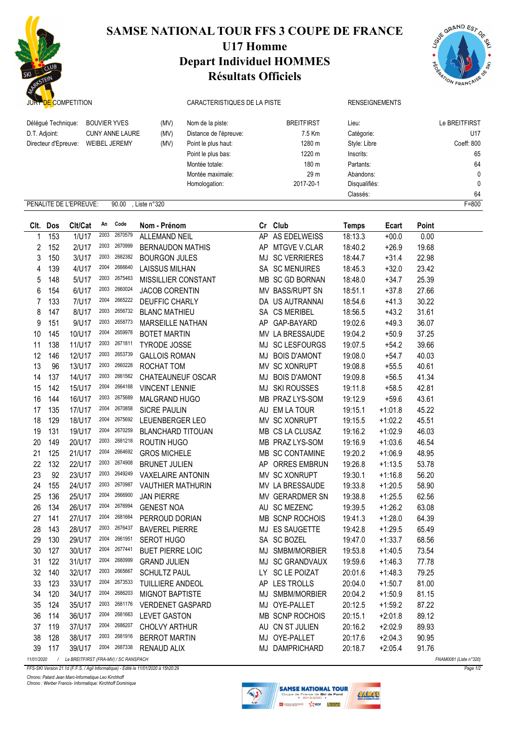

## SAMSE NATIONAL TOUR FFS 3 COUPE DE FRANCE

## U17 Homme Depart Individuel HOMMES Résultats Officiels



| JURY DE COMPETITION                                                                                                                                          |     |                        |      |         |                          | CARACTERISTIQUES DE LA PISTE                                                                                                                                          |    |                        |                                                               | <b>RENSEIGNEMENTS</b> |       |                                                |
|--------------------------------------------------------------------------------------------------------------------------------------------------------------|-----|------------------------|------|---------|--------------------------|-----------------------------------------------------------------------------------------------------------------------------------------------------------------------|----|------------------------|---------------------------------------------------------------|-----------------------|-------|------------------------------------------------|
| <b>BOUVIER YVES</b><br>Délégué Technique:<br>(MV)<br><b>CUNY ANNE LAURE</b><br>D.T. Adjoint:<br>(MV)<br><b>WEIBEL JEREMY</b><br>Directeur d'Epreuve:<br>(MV) |     |                        |      |         |                          | <b>BREITFIRST</b><br>Nom de la piste:<br>7.5 Km<br>Distance de l'épreuve:<br>1280 m<br>Point le plus haut:<br>1220 m<br>Point le plus bas:<br>180 m<br>Montée totale: |    |                        | Lieu:<br>Catégorie:<br>Style: Libre<br>Inscrits:<br>Partants: |                       |       | Le BREITFIRST<br>U17<br>Coeff: 800<br>65<br>64 |
|                                                                                                                                                              |     |                        |      |         |                          | Montée maximale:                                                                                                                                                      |    | 29 m<br>Abandons:      |                                                               |                       |       | 0                                              |
|                                                                                                                                                              |     |                        |      |         |                          | Homologation:                                                                                                                                                         |    | 2017-20-1              | Disqualifiés:                                                 |                       |       | 0                                              |
|                                                                                                                                                              |     |                        |      |         |                          |                                                                                                                                                                       |    |                        | Classés:                                                      |                       |       | 64                                             |
|                                                                                                                                                              |     | PENALITE DE L'EPREUVE: |      | 90.00   | , Liste n°320            |                                                                                                                                                                       |    |                        |                                                               |                       |       | $F = 800$                                      |
| CIt.                                                                                                                                                         | Dos | Clt/Cat                | An   | Code    | Nom - Prénom             |                                                                                                                                                                       |    | Cr Club                | <b>Temps</b>                                                  | Ecart                 | Point |                                                |
|                                                                                                                                                              | 153 | 1/U17                  | 2003 | 2670579 | <b>ALLEMAND NEIL</b>     |                                                                                                                                                                       | AP | AS EDELWEISS           | 18:13.3                                                       | $+00.0$               | 0.00  |                                                |
| 2                                                                                                                                                            | 152 | 2/U17                  | 2003 | 2670999 | <b>BERNAUDON MATHIS</b>  |                                                                                                                                                                       | AP | MTGVE V.CLAR           | 18:40.2                                                       | $+26.9$               | 19.68 |                                                |
| 3                                                                                                                                                            | 150 | 3/U17                  | 2003 | 2682382 | <b>BOURGON JULES</b>     |                                                                                                                                                                       |    | MJ SC VERRIERES        | 18:44.7                                                       | $+31.4$               | 22.98 |                                                |
| 4                                                                                                                                                            | 139 | 4/U17                  | 2004 | 2666640 | <b>LAISSUS MILHAN</b>    |                                                                                                                                                                       |    | SA SC MENUIRES         | 18:45.3                                                       | $+32.0$               | 23.42 |                                                |
| 5                                                                                                                                                            | 148 | 5/U17                  | 2003 | 2675463 | MISSILLIER CONSTANT      |                                                                                                                                                                       |    | MB SC GD BORNAN        | 18:48.0                                                       | $+34.7$               | 25.39 |                                                |
| 6                                                                                                                                                            | 154 | 6/U17                  | 2003 | 2660024 | <b>JACOB CORENTIN</b>    |                                                                                                                                                                       |    | MV BASS/RUPT SN        | 18:51.1                                                       | $+37.8$               | 27.66 |                                                |
| 7                                                                                                                                                            | 133 | 7/U17                  | 2004 | 2665222 | <b>DEUFFIC CHARLY</b>    |                                                                                                                                                                       |    | DA US AUTRANNAI        | 18:54.6                                                       | $+41.3$               | 30.22 |                                                |
| 8                                                                                                                                                            | 147 | 8/U17                  | 2003 | 2656732 | <b>BLANC MATHIEU</b>     |                                                                                                                                                                       |    | SA CS MERIBEL          | 18:56.5                                                       | $+43.2$               | 31.61 |                                                |
| 9                                                                                                                                                            | 151 | 9/U17                  | 2003 | 2658773 | <b>MARSEILLE NATHAN</b>  |                                                                                                                                                                       |    | AP GAP-BAYARD          | 19:02.6                                                       | $+49.3$               | 36.07 |                                                |
| 10                                                                                                                                                           | 145 | 10/U17                 | 2004 | 2659978 | <b>BOTET MARTIN</b>      |                                                                                                                                                                       |    | MV LA BRESSAUDE        | 19:04.2                                                       | $+50.9$               | 37.25 |                                                |
| 11                                                                                                                                                           | 138 | 11/U17                 | 2003 | 2671811 | <b>TYRODE JOSSE</b>      |                                                                                                                                                                       |    | MJ SC LESFOURGS        | 19:07.5                                                       | $+54.2$               | 39.66 |                                                |
| 12                                                                                                                                                           | 146 | 12/U17                 | 2003 | 2653739 | <b>GALLOIS ROMAN</b>     |                                                                                                                                                                       | MJ | <b>BOIS D'AMONT</b>    | 19:08.0                                                       | $+54.7$               | 40.03 |                                                |
| 13                                                                                                                                                           | 96  | 13/U17                 | 2003 | 2660228 | ROCHAT TOM               |                                                                                                                                                                       |    | MV SC XONRUPT          | 19:08.8                                                       | $+55.5$               | 40.61 |                                                |
| 14                                                                                                                                                           | 137 | 14/U17                 | 2003 | 2661562 | CHATEAUNEUF OSCAR        |                                                                                                                                                                       | MJ | <b>BOIS D'AMONT</b>    | 19:09.8                                                       | $+56.5$               | 41.34 |                                                |
| 15                                                                                                                                                           | 142 | 15/U17                 | 2004 | 2664168 | <b>VINCENT LENNIE</b>    |                                                                                                                                                                       |    | <b>MJ SKI ROUSSES</b>  | 19:11.8                                                       | $+58.5$               | 42.81 |                                                |
| 16                                                                                                                                                           | 144 | 16/U17                 | 2003 | 2675689 | MALGRAND HUGO            |                                                                                                                                                                       |    | MB PRAZ LYS-SOM        | 19:12.9                                                       | $+59.6$               | 43.61 |                                                |
| 17                                                                                                                                                           | 135 | 17/U17                 | 2004 | 2670858 | SICRE PAULIN             |                                                                                                                                                                       |    | AU EM LA TOUR          | 19:15.1                                                       | $+1:01.8$             | 45.22 |                                                |
| 18                                                                                                                                                           | 129 | 18/U17                 | 2004 | 2675692 | LEUENBERGER LEO          |                                                                                                                                                                       |    | MV SC XONRUPT          | 19:15.5                                                       | $+1:02.2$             | 45.51 |                                                |
| 19                                                                                                                                                           | 131 | 19/U17                 | 2004 | 2670259 | <b>BLANCHARD TITOUAN</b> |                                                                                                                                                                       |    | MB CS LA CLUSAZ        | 19:16.2                                                       | $+1:02.9$             | 46.03 |                                                |
| 20                                                                                                                                                           | 149 | 20/U17                 | 2003 | 2681218 | ROUTIN HUGO              |                                                                                                                                                                       |    | MB PRAZ LYS-SOM        | 19:16.9                                                       | $+1:03.6$             | 46.54 |                                                |
| 21                                                                                                                                                           | 125 | 21/U17                 | 2004 | 2664692 | <b>GROS MICHELE</b>      |                                                                                                                                                                       |    | MB SC CONTAMINE        | 19:20.2                                                       | $+1:06.9$             | 48.95 |                                                |
| 22                                                                                                                                                           | 132 | 22/U17                 | 2003 | 2674908 | <b>BRUNET JULIEN</b>     |                                                                                                                                                                       |    | AP ORRES EMBRUN        | 19:26.8                                                       | $+1:13.5$             | 53.78 |                                                |
| 23                                                                                                                                                           | 92  | 23/U17                 | 2003 | 2649249 | <b>VAXELAIRE ANTONIN</b> |                                                                                                                                                                       |    | MV SC XONRUPT          | 19:30.1                                                       | $+1:16.8$             | 56.20 |                                                |
| 24                                                                                                                                                           | 155 | 24/U17                 | 2003 | 2670987 | <b>VAUTHIER MATHURIN</b> |                                                                                                                                                                       |    | MV LA BRESSAUDE        | 19:33.8                                                       | $+1:20.5$             | 58.90 |                                                |
| 25                                                                                                                                                           | 136 | 25/U17                 | 2004 | 2666900 | <b>JAN PIERRE</b>        |                                                                                                                                                                       |    | MV GERARDMER SN        | 19:38.8                                                       | $+1:25.5$             | 62.56 |                                                |
| 26                                                                                                                                                           | 134 | 26/U17                 | 2004 | 2676994 | <b>GENEST NOA</b>        |                                                                                                                                                                       |    | AU SC MEZENC           | 19:39.5                                                       | $+1:26.2$             | 63.08 |                                                |
| 27                                                                                                                                                           | 141 | 27/U17                 | 2004 | 2681664 | PERROUD DORIAN           |                                                                                                                                                                       |    | <b>MB SCNP ROCHOIS</b> | 19:41.3                                                       | $+1:28.0$             | 64.39 |                                                |
| 28                                                                                                                                                           | 143 | 28/U17                 | 2003 | 2676437 | <b>BAVEREL PIERRE</b>    |                                                                                                                                                                       |    | MJ ES SAUGETTE         | 19:42.8                                                       | $+1:29.5$             | 65.49 |                                                |
| 29                                                                                                                                                           | 130 | 29/U17                 | 2004 | 2661951 | SEROT HUGO               |                                                                                                                                                                       |    | SA SC BOZEL            | 19:47.0                                                       | $+1:33.7$             | 68.56 |                                                |
| 30                                                                                                                                                           | 127 | 30/U17                 | 2004 | 2677441 | <b>BUET PIERRE LOIC</b>  |                                                                                                                                                                       |    | MJ SMBM/MORBIER        | 19:53.8                                                       | $+1:40.5$             | 73.54 |                                                |
| 31                                                                                                                                                           | 122 | 31/U17                 | 2004 | 2680999 | <b>GRAND JULIEN</b>      |                                                                                                                                                                       |    | MJ SC GRANDVAUX        | 19:59.6                                                       | $+1:46.3$             | 77.78 |                                                |
| 32                                                                                                                                                           | 140 | 32/U17                 | 2003 | 2665667 | <b>SCHULTZ PAUL</b>      |                                                                                                                                                                       |    | LY SC LE POIZAT        | 20:01.6                                                       | $+1:48.3$             | 79.25 |                                                |
| 33                                                                                                                                                           | 123 | 33/U17                 | 2004 | 2673533 | TUILLIERE ANDEOL         |                                                                                                                                                                       |    | AP LES TROLLS          | 20:04.0                                                       | $+1:50.7$             | 81.00 |                                                |
| 34                                                                                                                                                           | 120 | 34/U17                 | 2004 | 2686203 | <b>MIGNOT BAPTISTE</b>   |                                                                                                                                                                       |    | MJ SMBM/MORBIER        | 20:04.2                                                       | $+1:50.9$             | 81.15 |                                                |
| 35                                                                                                                                                           | 124 | 35/U17                 | 2003 | 2681176 | <b>VERDENET GASPARD</b>  |                                                                                                                                                                       |    | MJ OYE-PALLET          | 20:12.5                                                       | $+1:59.2$             | 87.22 |                                                |
| 36                                                                                                                                                           | 114 | 36/U17                 | 2004 | 2681663 | LEVET GASTON             |                                                                                                                                                                       |    | MB SCNP ROCHOIS        | 20:15.1                                                       | $+2:01.8$             | 89.12 |                                                |
| 37                                                                                                                                                           | 119 | 37/U17                 | 2004 | 2686207 | <b>CHOLVY ARTHUR</b>     |                                                                                                                                                                       |    | AU CN ST JULIEN        | 20:16.2                                                       | $+2:02.9$             | 89.93 |                                                |
| 38                                                                                                                                                           | 128 | 38/U17                 | 2003 | 2681916 | <b>BERROT MARTIN</b>     |                                                                                                                                                                       |    | MJ OYE-PALLET          | 20:17.6                                                       | $+2:04.3$             | 90.95 |                                                |
| 39                                                                                                                                                           | 117 | 39/U17                 | 2004 | 2687338 | RENAUD ALIX              |                                                                                                                                                                       |    | MJ DAMPRICHARD         | 20:18.7                                                       | $+2:05.4$             | 91.76 |                                                |

11/01/2020 / Le BREITFIRST (FRA-MV) / SC RANSPACH FNAM0081 (Liste n°320)

FFS-SKI Version 21.1d (F.F.S. / Agil Informatique) - Edité le 11/01/2020 à 15h20:29

Chrono: Patard Jean Marc-Informatique Leo Kirchhoff Chrono : Werber Francis- Informatique: Kirchhoff Dominique



CALLEE



Page 1/2